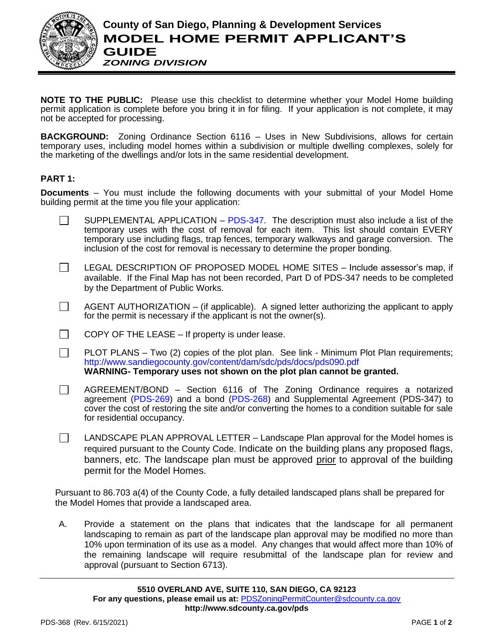

**NOTE TO THE PUBLIC:** Please use this checklist to determine whether your Model Home building permit application is complete before you bring it in for filing. If your application is not complete, it may not be accepted for processing.

**BACKGROUND:** Zoning Ordinance Section 6116 – Uses in New Subdivisions, allows for certain temporary uses, including model homes within a subdivision or multiple dwelling complexes, solely for the marketing of the dwellings and/or lots in the same residential development.

## **PART 1:**

**Documents** – You must include the following documents with your submittal of your Model Home building permit at the time you file your application:

- SUPPLEMENTAL APPLICATION [PDS-347.](http://www.sandiegocounty.gov/content/dam/sdc/pds/zoning/formfields/PDS-PLN-347.pdf) The description must also include a list of the  $\Box$ temporary uses with the cost of removal for each item. This list should contain EVERY temporary use including flags, trap fences, temporary walkways and garage conversion. The inclusion of the cost for removal is necessary to determine the proper bonding.
- $\Box$ LEGAL DESCRIPTION OF PROPOSED MODEL HOME SITES – Include assessor's map, if available. If the Final Map has not been recorded, Part D of PDS-347 needs to be completed by the Department of Public Works.
- AGENT AUTHORIZATION (if applicable). A signed letter authorizing the applicant to apply  $\Box$ for the permit is necessary if the applicant is not the owner(s).
- COPY OF THE LEASE If property is under lease.  $\Box$
- $\Box$ PLOT PLANS – Two (2) copies of the plot plan. See link - Minimum Plot Plan requirements; <http://www.sandiegocounty.gov/content/dam/sdc/pds/docs/pds090.pdf> **WARNING- Temporary uses not shown on the plot plan cannot be granted.**
- AGREEMENT/BOND Section 6116 of The Zoning Ordinance requires a notarized  $\Box$ agreement [\(PDS-269\)](http://www.sandiegocounty.gov/content/dam/sdc/pds/zoning/formfields/PDS-PLN-269.pdf) and a bond [\(PDS-268\)](http://www.sandiegocounty.gov/content/dam/sdc/pds/zoning/formfields/PDS-268-FF.pdf) and Supplemental Agreement (PDS-347) to cover the cost of restoring the site and/or converting the homes to a condition suitable for sale for residential occupancy.
- $\Box$  LANDSCAPE PLAN APPROVAL LETTER Landscape Plan approval for the Model homes is required pursuant to the County Code. Indicate on the building plans any proposed flags, banners, etc. The landscape plan must be approved prior to approval of the building permit for the Model Homes.

Pursuant to 86.703 a(4) of the County Code, a fully detailed landscaped plans shall be prepared for the Model Homes that provide a landscaped area.

A. Provide a statement on the plans that indicates that the landscape for all permanent landscaping to remain as part of the landscape plan approval may be modified no more than 10% upon termination of its use as a model. Any changes that would affect more than 10% of the remaining landscape will require resubmittal of the landscape plan for review and approval (pursuant to Section 6713).